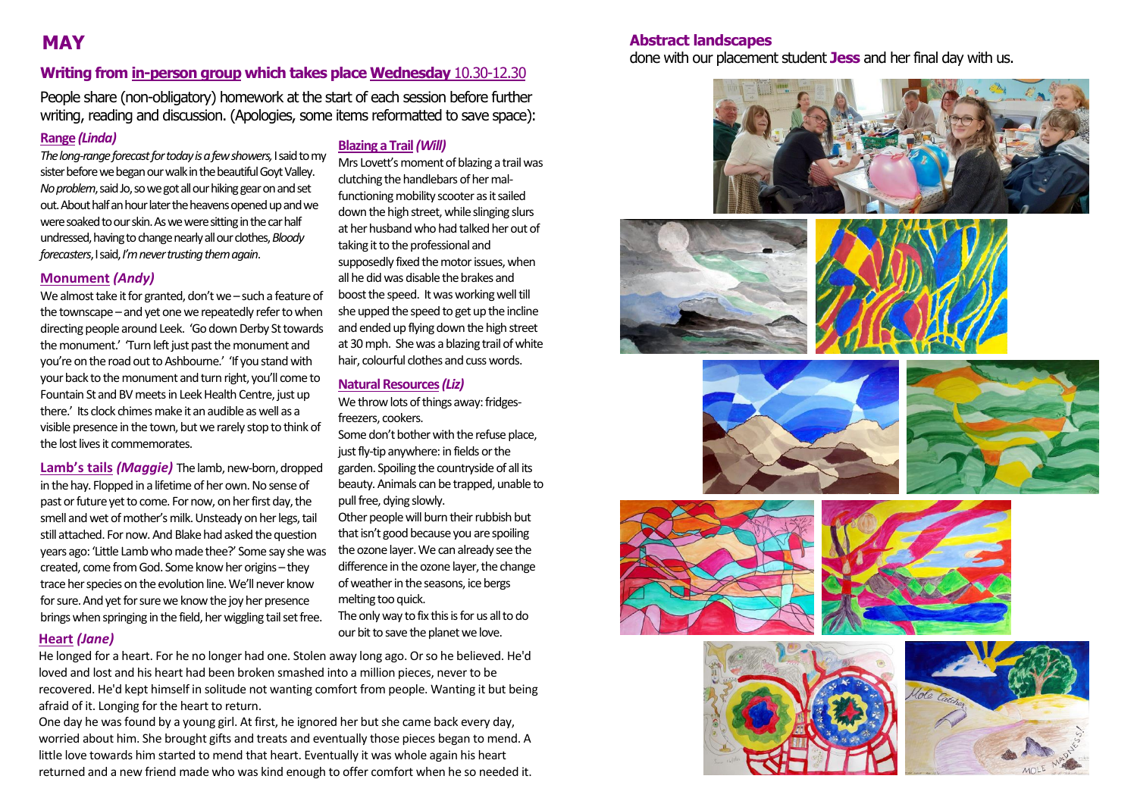### **Writing from in-person group which takes place Wednesday** 10.30-12.30

People share (non-obligatory) homework at the start of each session before further writing, reading and discussion. (Apologies, some items reformatted to save space):

#### **Range** *(Linda)*

*The long-range forecast for today is a few showers,*I said to my sister before we began our walk in the beautiful Goyt Valley. *No problem*,said Jo, so we got all our hiking gear on and set out. About half an hour later the heavens opened up and we were soaked to our skin. As we were sitting in the car half undressed, having to change nearly all our clothes, *Bloody forecasters*,I said, *I'm never trusting them again*.

#### **Monument** *(Andy)*

We almost take it for granted, don't we – such a feature of the townscape – and yet one we repeatedly refer to when directing people around Leek. 'Go down Derby St towards the monument.' 'Turn left just past the monument and you're on the road out to Ashbourne.' 'If you stand with your back to the monument and turn right, you'll come to Fountain St and BV meets in Leek Health Centre, just up there.' Its clock chimes make it an audible as well as a visible presence in the town, but we rarely stop to think of the lost lives it commemorates.

**Lamb's tails** *(Maggie)* The lamb, new-born, dropped in the hay. Flopped in a lifetime of her own. No sense of past or future yet to come. For now, on her first day, the smell and wet of mother's milk. Unsteady on her legs, tail still attached. For now.And Blake had asked the question years ago: 'Little Lamb who made thee?' Some say she was created, come from God. Some know her origins – they trace her species on the evolution line. We'll never know for sure. And yet for sure we know the joy her presence brings when springing in the field, her wiggling tail set free.

#### **Blazing a Trail***(Will)*

Mrs Lovett's moment of blazing a trail was clutching the handlebars of her malfunctioning mobility scooter as it sailed down the high street, while slinging slurs at her husband who had talked her out of taking it to the professional and supposedly fixed the motor issues, when all he did was disable the brakes and boost the speed. It was working well till she upped the speed to get up the incline and ended up flying down the high street at 30 mph. She was a blazing trail of white hair, colourful clothes and cuss words.

#### **Natural Resources***(Liz)*

We throw lots of things away: fridgesfreezers, cookers.

Some don't bother with the refuse place, just fly-tip anywhere: in fields or the garden. Spoiling the countryside of all its beauty. Animals can be trapped, unable to pull free, dying slowly.

Other people will burn their rubbish but that isn't good because you are spoiling the ozone layer. We can already see the difference in the ozone layer, the change ofweather in the seasons, ice bergs melting too quick.

The only way to fix this is for us all to do our bit to save the planet we love.

#### **Heart** *(Jane)*

He longed for a heart. For he no longer had one. Stolen away long ago. Or so he believed. He'd loved and lost and his heart had been broken smashed into a million pieces, never to be recovered. He'd kept himself in solitude not wanting comfort from people. Wanting it but being afraid of it. Longing for the heart to return.

One day he was found by a young girl. At first, he ignored her but she came back every day, worried about him. She brought gifts and treats and eventually those pieces began to mend. A little love towards him started to mend that heart. Eventually it was whole again his heart returned and a new friend made who was kind enough to offer comfort when he so needed it.

#### **MAY Abstract landscapes**

done with our placement student **Jess** and her final day with us.